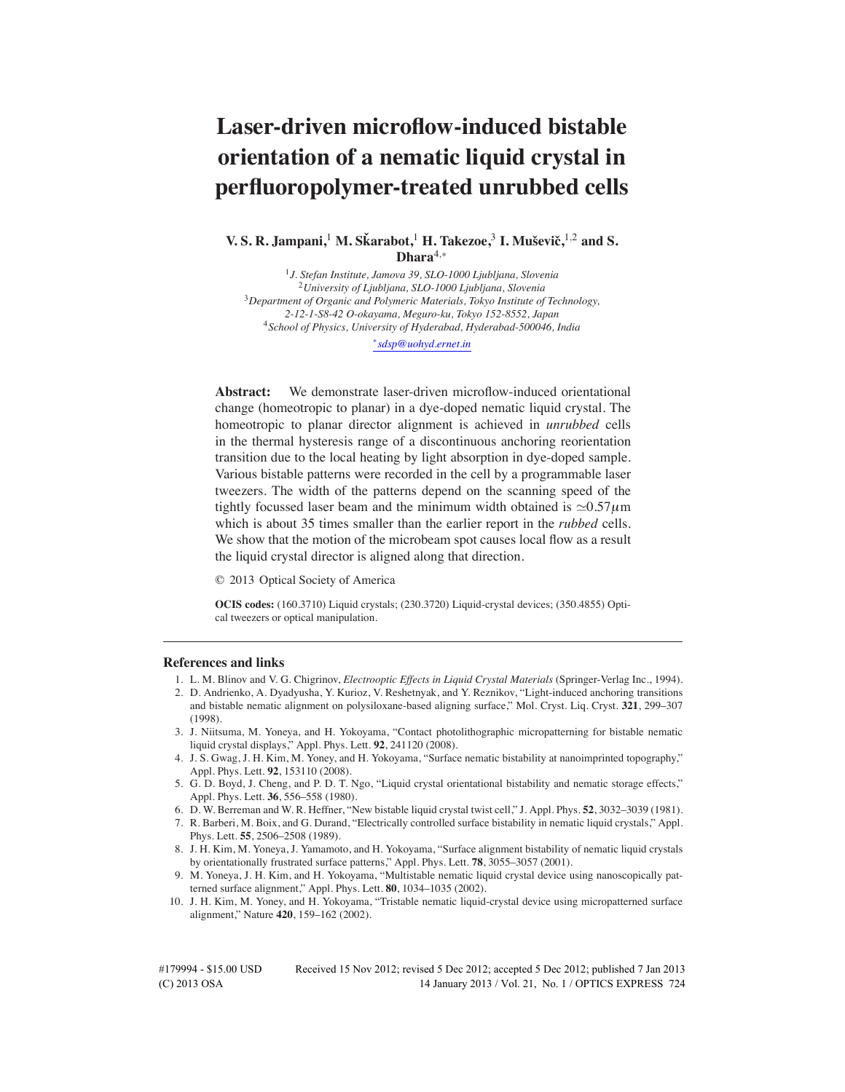# **Laser-driven microflow-induced bistable orientation of a nematic liquid crystal in perfluoropolymer-treated unrubbed cells**

**V. S. R. Jampani,**<sup>1</sup> **M. Skarabot, ˇ** <sup>1</sup> **H. Takezoe,**<sup>3</sup> **I. Musevi ˇ c,ˇ** <sup>1</sup>,<sup>2</sup> **and S. Dhara**4,<sup>∗</sup>

*J. Stefan Institute, Jamova 39, SLO-1000 Ljubljana, Slovenia University of Ljubljana, SLO-1000 Ljubljana, Slovenia Department of Organic and Polymeric Materials, Tokyo Institute of Technology, 2-12-1-S8-42 O-okayama, Meguro-ku, Tokyo 152-8552, Japan School of Physics, University of Hyderabad, Hyderabad-500046, India* <sup>∗</sup>*sdsp@uohyd.ernet.in*

**Abstract:** We demonstrate laser-driven microflow-induced orientational change (homeotropic to planar) in a dye-doped nematic liquid crystal. The homeotropic to planar director alignment is achieved in *unrubbed* cells in the thermal hysteresis range of a discontinuous anchoring reorientation transition due to the local heating by light absorption in dye-doped sample. Various bistable patterns were recorded in the cell by a programmable laser tweezers. The width of the patterns depend on the scanning speed of the tightly focussed laser beam and the minimum width obtained is  $\approx 0.57 \mu m$ which is about 35 times smaller than the earlier report in the *rubbed* cells. We show that the motion of the microbeam spot causes local flow as a result the liquid crystal director is aligned along that direction.

© 2013 Optical Society of America

**OCIS codes:** (160.3710) Liquid crystals; (230.3720) Liquid-crystal devices; (350.4855) Optical tweezers or optical manipulation.

#### **References and links**

- 1. L. M. Blinov and V. G. Chigrinov, *Electrooptic Effects in Liquid Crystal Materials* (Springer-Verlag Inc., 1994).
- 2. D. Andrienko, A. Dyadyusha, Y. Kurioz, V. Reshetnyak, and Y. Reznikov, "Light-induced anchoring transitions and bistable nematic alignment on polysiloxane-based aligning surface," Mol. Cryst. Liq. Cryst. **321**, 299–307 (1998).
- 3. J. Niitsuma, M. Yoneya, and H. Yokoyama, "Contact photolithographic micropatterning for bistable nematic liquid crystal displays," Appl. Phys. Lett. **92**, 241120 (2008).
- 4. J. S. Gwag, J. H. Kim, M. Yoney, and H. Yokoyama, "Surface nematic bistability at nanoimprinted topography," Appl. Phys. Lett. **92**, 153110 (2008).
- 5. G. D. Boyd, J. Cheng, and P. D. T. Ngo, "Liquid crystal orientational bistability and nematic storage effects," Appl. Phys. Lett. **36**, 556–558 (1980).
- 6. D. W. Berreman and W. R. Heffner, "New bistable liquid crystal twist cell," J. Appl. Phys. **52**, 3032–3039 (1981).
- 7. R. Barberi, M. Boix, and G. Durand, "Electrically controlled surface bistability in nematic liquid crystals," Appl. Phys. Lett. **55**, 2506–2508 (1989).
- 8. J. H. Kim, M. Yoneya, J. Yamamoto, and H. Yokoyama, "Surface alignment bistability of nematic liquid crystals by orientationally frustrated surface patterns," Appl. Phys. Lett. **78**, 3055–3057 (2001).
- 9. M. Yoneya, J. H. Kim, and H. Yokoyama, "Multistable nematic liquid crystal device using nanoscopically patterned surface alignment," Appl. Phys. Lett. **80**, 1034–1035 (2002).
- 10. J. H. Kim, M. Yoney, and H. Yokoyama, "Tristable nematic liquid-crystal device using micropatterned surface alignment," Nature **420**, 159–162 (2002).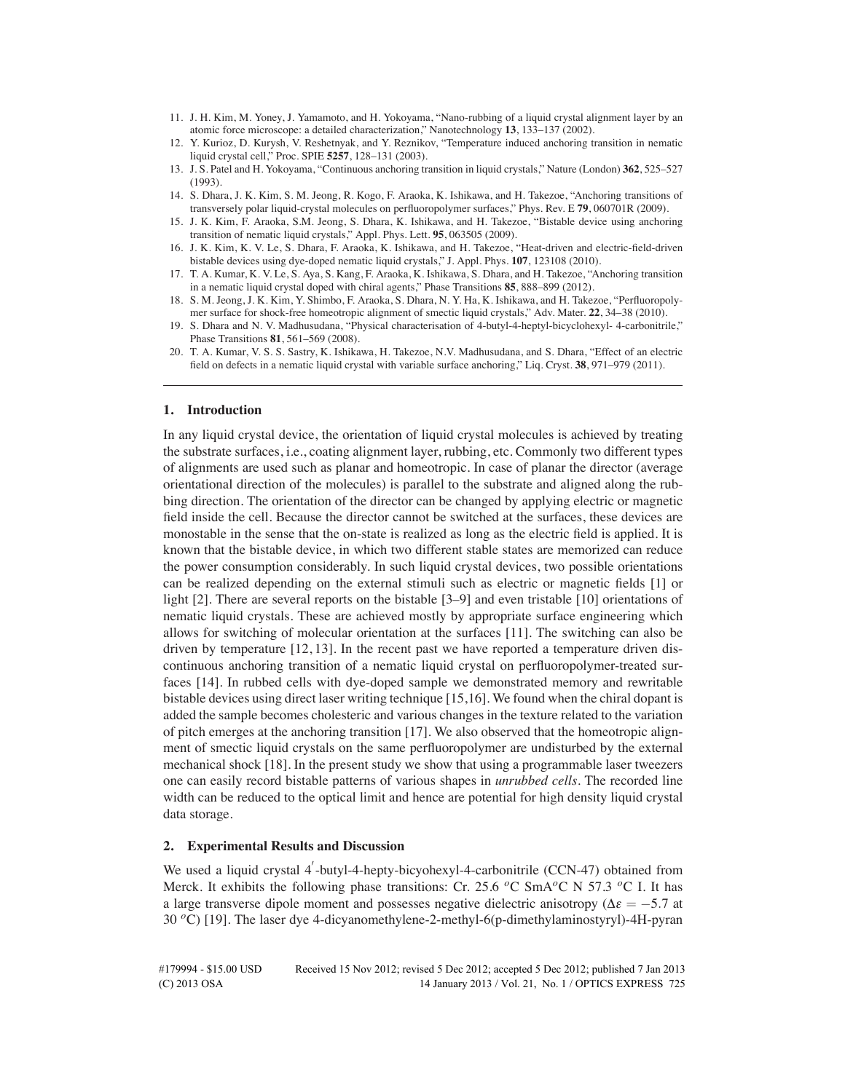- 11. J. H. Kim, M. Yoney, J. Yamamoto, and H. Yokoyama, "Nano-rubbing of a liquid crystal alignment layer by an atomic force microscope: a detailed characterization," Nanotechnology **13**, 133–137 (2002).
- 12. Y. Kurioz, D. Kurysh, V. Reshetnyak, and Y. Reznikov, "Temperature induced anchoring transition in nematic liquid crystal cell," Proc. SPIE **5257**, 128–131 (2003).
- 13. J. S. Patel and H. Yokoyama, "Continuous anchoring transition in liquid crystals," Nature (London) **362**, 525–527 (1993).
- 14. S. Dhara, J. K. Kim, S. M. Jeong, R. Kogo, F. Araoka, K. Ishikawa, and H. Takezoe, "Anchoring transitions of transversely polar liquid-crystal molecules on perfluoropolymer surfaces," Phys. Rev. E **79**, 060701R (2009).
- 15. J. K. Kim, F. Araoka, S.M. Jeong, S. Dhara, K. Ishikawa, and H. Takezoe, "Bistable device using anchoring transition of nematic liquid crystals," Appl. Phys. Lett. **95**, 063505 (2009).
- 16. J. K. Kim, K. V. Le, S. Dhara, F. Araoka, K. Ishikawa, and H. Takezoe, "Heat-driven and electric-field-driven bistable devices using dye-doped nematic liquid crystals," J. Appl. Phys. **107**, 123108 (2010).
- 17. T. A. Kumar, K. V. Le, S. Aya, S. Kang, F. Araoka, K. Ishikawa, S. Dhara, and H. Takezoe, "Anchoring transition in a nematic liquid crystal doped with chiral agents," Phase Transitions **85**, 888–899 (2012).
- 18. S. M. Jeong, J. K. Kim, Y. Shimbo, F. Araoka, S. Dhara, N. Y. Ha, K. Ishikawa, and H. Takezoe, "Perfluoropolymer surface for shock-free homeotropic alignment of smectic liquid crystals," Adv. Mater. **22**, 34–38 (2010).
- 19. S. Dhara and N. V. Madhusudana, "Physical characterisation of 4-butyl-4-heptyl-bicyclohexyl- 4-carbonitrile," Phase Transitions **81**, 561–569 (2008).
- 20. T. A. Kumar, V. S. S. Sastry, K. Ishikawa, H. Takezoe, N.V. Madhusudana, and S. Dhara, "Effect of an electric field on defects in a nematic liquid crystal with variable surface anchoring," Liq. Cryst. **38**, 971–979 (2011).

### **1. Introduction**

In any liquid crystal device, the orientation of liquid crystal molecules is achieved by treating the substrate surfaces, i.e., coating alignment layer, rubbing, etc. Commonly two different types of alignments are used such as planar and homeotropic. In case of planar the director (average orientational direction of the molecules) is parallel to the substrate and aligned along the rubbing direction. The orientation of the director can be changed by applying electric or magnetic field inside the cell. Because the director cannot be switched at the surfaces, these devices are monostable in the sense that the on-state is realized as long as the electric field is applied. It is known that the bistable device, in which two different stable states are memorized can reduce the power consumption considerably. In such liquid crystal devices, two possible orientations can be realized depending on the external stimuli such as electric or magnetic fields [1] or light [2]. There are several reports on the bistable [3–9] and even tristable [10] orientations of nematic liquid crystals. These are achieved mostly by appropriate surface engineering which allows for switching of molecular orientation at the surfaces [11]. The switching can also be driven by temperature [12, 13]. In the recent past we have reported a temperature driven discontinuous anchoring transition of a nematic liquid crystal on perfluoropolymer-treated surfaces [14]. In rubbed cells with dye-doped sample we demonstrated memory and rewritable bistable devices using direct laser writing technique [15,16]. We found when the chiral dopant is added the sample becomes cholesteric and various changes in the texture related to the variation of pitch emerges at the anchoring transition [17]. We also observed that the homeotropic alignment of smectic liquid crystals on the same perfluoropolymer are undisturbed by the external mechanical shock [18]. In the present study we show that using a programmable laser tweezers one can easily record bistable patterns of various shapes in *unrubbed cells*. The recorded line width can be reduced to the optical limit and hence are potential for high density liquid crystal data storage.

### **2. Experimental Results and Discussion**

We used a liquid crystal 4'-butyl-4-hepty-bicyohexyl-4-carbonitrile (CCN-47) obtained from Merck. It exhibits the following phase transitions: Cr. 25.6 *<sup>o</sup>*C SmA*o*C N 57.3 *<sup>o</sup>*C I. It has a large transverse dipole moment and possesses negative dielectric anisotropy ( $\Delta \epsilon = -5.7$  at 30 *<sup>o</sup>*C) [19]. The laser dye 4-dicyanomethylene-2-methyl-6(p-dimethylaminostyryl)-4H-pyran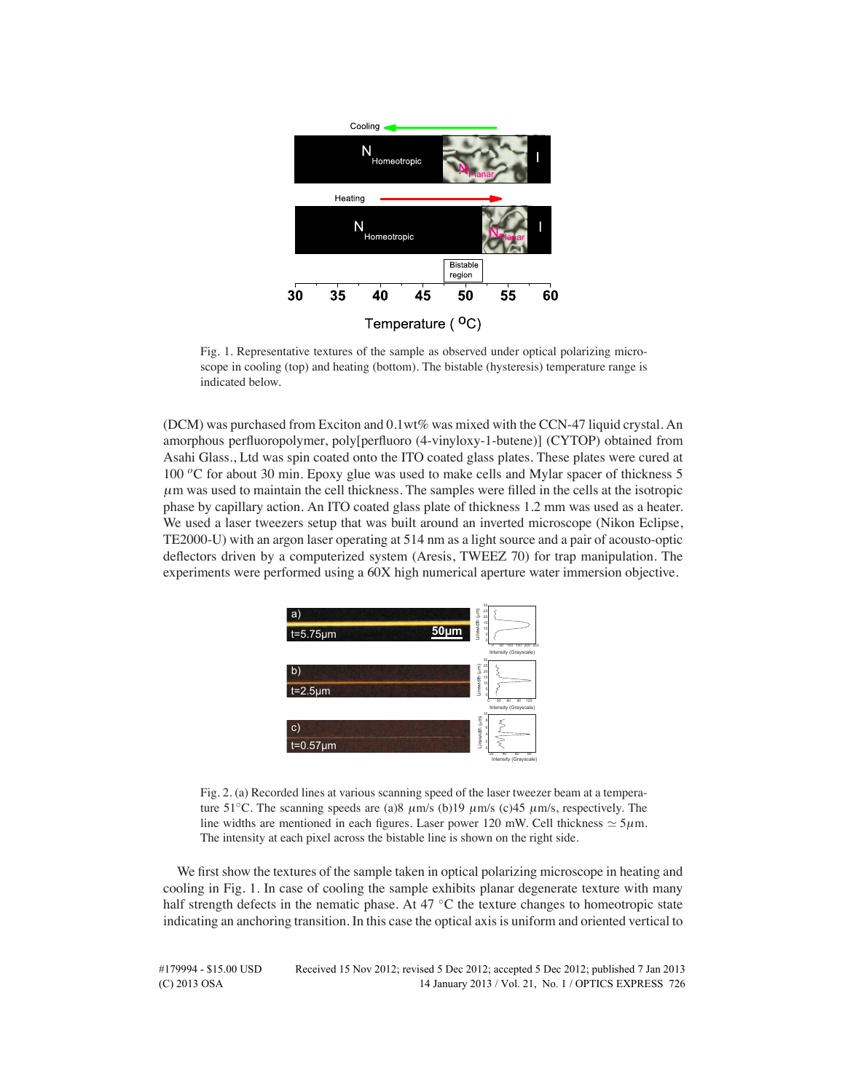

Fig. 1. Representative textures of the sample as observed under optical polarizing microscope in cooling (top) and heating (bottom). The bistable (hysteresis) temperature range is indicated below.

(DCM) was purchased from Exciton and 0.1wt% was mixed with the CCN-47 liquid crystal. An amorphous perfluoropolymer, poly[perfluoro (4-vinyloxy-1-butene)] (CYTOP) obtained from Asahi Glass., Ltd was spin coated onto the ITO coated glass plates. These plates were cured at 100 *<sup>o</sup>*C for about 30 min. Epoxy glue was used to make cells and Mylar spacer of thickness 5  $\mu$ m was used to maintain the cell thickness. The samples were filled in the cells at the isotropic phase by capillary action. An ITO coated glass plate of thickness 1.2 mm was used as a heater. We used a laser tweezers setup that was built around an inverted microscope (Nikon Eclipse, TE2000-U) with an argon laser operating at 514 nm as a light source and a pair of acousto-optic deflectors driven by a computerized system (Aresis, TWEEZ 70) for trap manipulation. The experiments were performed using a 60X high numerical aperture water immersion objective.



Fig. 2. (a) Recorded lines at various scanning speed of the laser tweezer beam at a temperature 51 °C. The scanning speeds are (a)8  $\mu$ m/s (b)19  $\mu$ m/s (c)45  $\mu$ m/s, respectively. The line widths are mentioned in each figures. Laser power 120 mW. Cell thickness  $\approx 5\mu$ m. The intensity at each pixel across the bistable line is shown on the right side.

We first show the textures of the sample taken in optical polarizing microscope in heating and cooling in Fig. 1. In case of cooling the sample exhibits planar degenerate texture with many half strength defects in the nematic phase. At  $47^{\circ}$ C the texture changes to homeotropic state indicating an anchoring transition. In this case the optical axis is uniform and oriented vertical to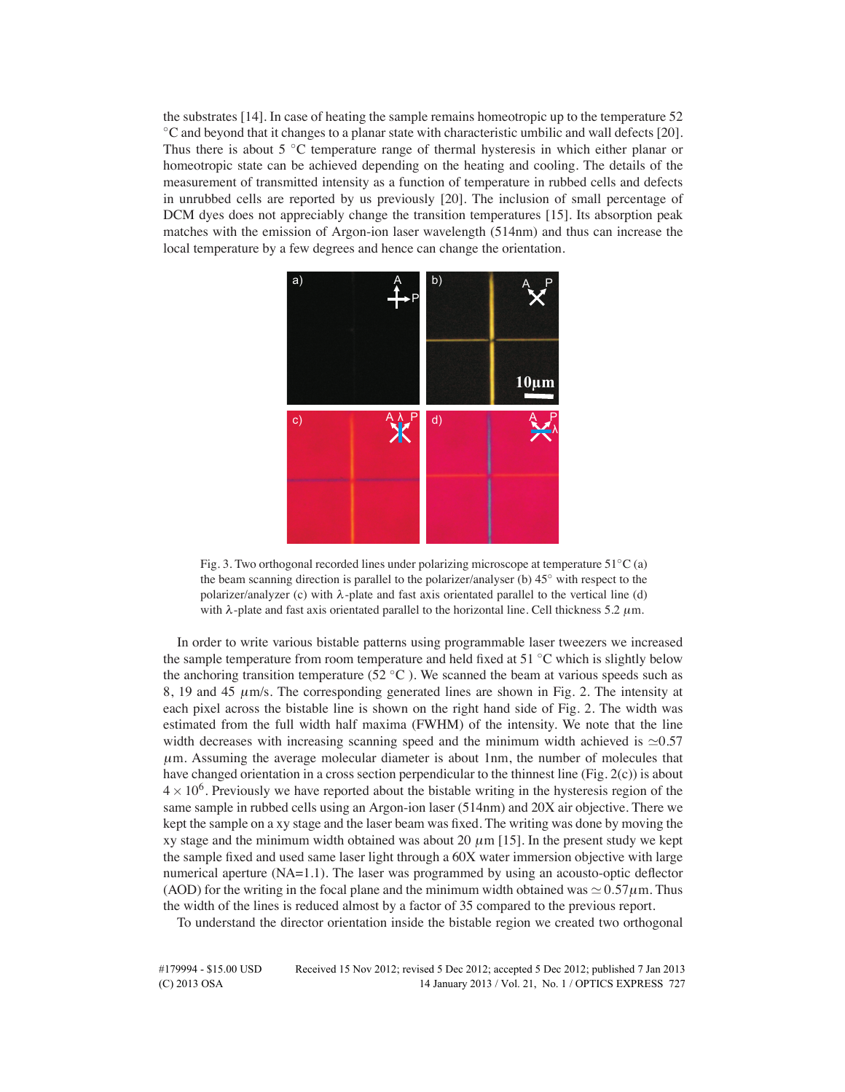the substrates [14]. In case of heating the sample remains homeotropic up to the temperature 52 ◦C and beyond that it changes to a planar state with characteristic umbilic and wall defects [20]. Thus there is about  $5^{\circ}$ C temperature range of thermal hysteresis in which either planar or homeotropic state can be achieved depending on the heating and cooling. The details of the measurement of transmitted intensity as a function of temperature in rubbed cells and defects in unrubbed cells are reported by us previously [20]. The inclusion of small percentage of DCM dyes does not appreciably change the transition temperatures [15]. Its absorption peak matches with the emission of Argon-ion laser wavelength (514nm) and thus can increase the local temperature by a few degrees and hence can change the orientation.





In order to write various bistable patterns using programmable laser tweezers we increased the sample temperature from room temperature and held fixed at  $51 \degree C$  which is slightly below the anchoring transition temperature (52  $\degree$ C). We scanned the beam at various speeds such as 8, 19 and 45 <sup>µ</sup>m/s. The corresponding generated lines are shown in Fig. 2. The intensity at each pixel across the bistable line is shown on the right hand side of Fig. 2. The width was estimated from the full width half maxima (FWHM) of the intensity. We note that the line width decreases with increasing scanning speed and the minimum width achieved is  $\approx 0.57$  $\mu$ m. Assuming the average molecular diameter is about 1nm, the number of molecules that have changed orientation in a cross section perpendicular to the thinnest line (Fig. 2(c)) is about  $4 \times 10^6$ . Previously we have reported about the bistable writing in the hysteresis region of the same sample in rubbed cells using an Argon-ion laser (514nm) and 20X air objective. There we kept the sample on a xy stage and the laser beam was fixed. The writing was done by moving the xy stage and the minimum width obtained was about 20  $\mu$ m [15]. In the present study we kept the sample fixed and used same laser light through a 60X water immersion objective with large numerical aperture (NA=1.1). The laser was programmed by using an acousto-optic deflector (AOD) for the writing in the focal plane and the minimum width obtained was  $\approx 0.57 \mu$ m. Thus the width of the lines is reduced almost by a factor of 35 compared to the previous report.

To understand the director orientation inside the bistable region we created two orthogonal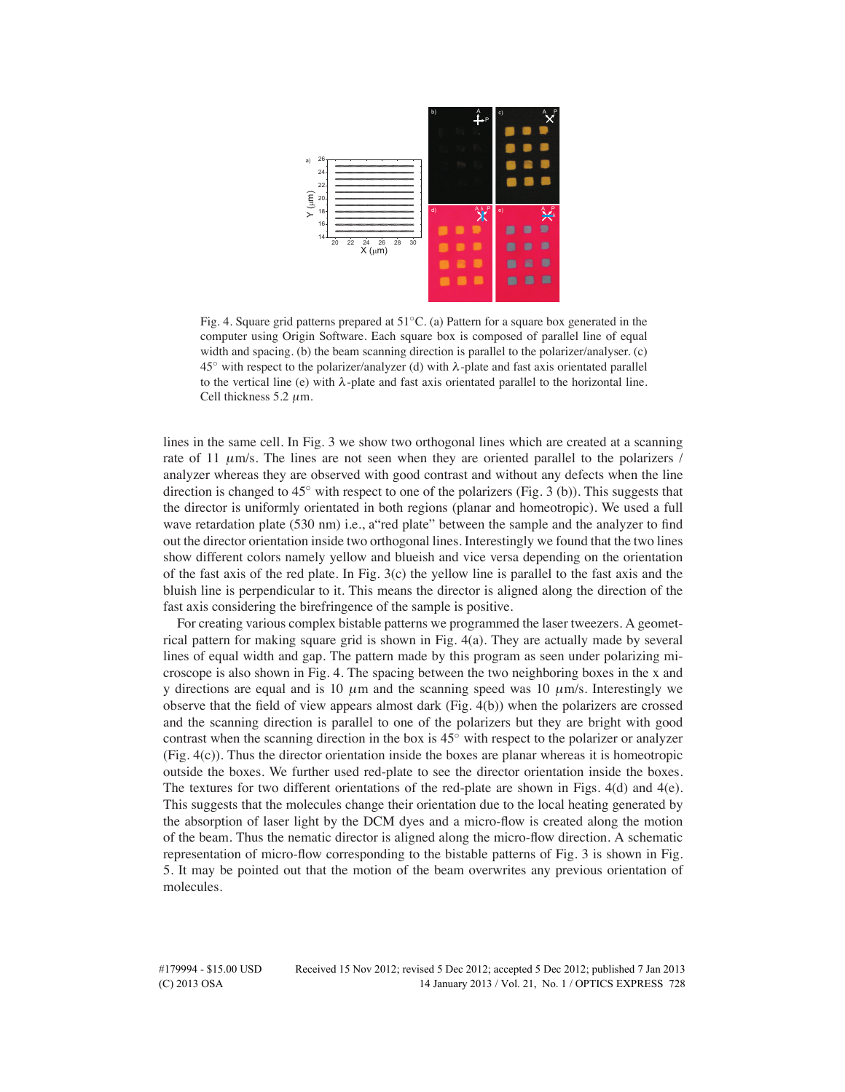

Fig. 4. Square grid patterns prepared at 51◦C. (a) Pattern for a square box generated in the computer using Origin Software. Each square box is composed of parallel line of equal width and spacing. (b) the beam scanning direction is parallel to the polarizer/analyser. (c)  $45^\circ$  with respect to the polarizer/analyzer (d) with  $\lambda$ -plate and fast axis orientated parallel to the vertical line (e) with  $\lambda$ -plate and fast axis orientated parallel to the horizontal line. Cell thickness  $5.2 \mu m$ .

lines in the same cell. In Fig. 3 we show two orthogonal lines which are created at a scanning rate of 11  $\mu$ m/s. The lines are not seen when they are oriented parallel to the polarizers / analyzer whereas they are observed with good contrast and without any defects when the line direction is changed to  $45°$  with respect to one of the polarizers (Fig. 3 (b)). This suggests that the director is uniformly orientated in both regions (planar and homeotropic). We used a full wave retardation plate (530 nm) i.e., a red plate" between the sample and the analyzer to find out the director orientation inside two orthogonal lines. Interestingly we found that the two lines show different colors namely yellow and blueish and vice versa depending on the orientation of the fast axis of the red plate. In Fig. 3(c) the yellow line is parallel to the fast axis and the bluish line is perpendicular to it. This means the director is aligned along the direction of the fast axis considering the birefringence of the sample is positive.

For creating various complex bistable patterns we programmed the laser tweezers. A geometrical pattern for making square grid is shown in Fig. 4(a). They are actually made by several lines of equal width and gap. The pattern made by this program as seen under polarizing microscope is also shown in Fig. 4. The spacing between the two neighboring boxes in the x and y directions are equal and is 10  $\mu$ m and the scanning speed was 10  $\mu$ m/s. Interestingly we observe that the field of view appears almost dark (Fig. 4(b)) when the polarizers are crossed and the scanning direction is parallel to one of the polarizers but they are bright with good contrast when the scanning direction in the box is  $45°$  with respect to the polarizer or analyzer (Fig. 4(c)). Thus the director orientation inside the boxes are planar whereas it is homeotropic outside the boxes. We further used red-plate to see the director orientation inside the boxes. The textures for two different orientations of the red-plate are shown in Figs. 4(d) and 4(e). This suggests that the molecules change their orientation due to the local heating generated by the absorption of laser light by the DCM dyes and a micro-flow is created along the motion of the beam. Thus the nematic director is aligned along the micro-flow direction. A schematic representation of micro-flow corresponding to the bistable patterns of Fig. 3 is shown in Fig. 5. It may be pointed out that the motion of the beam overwrites any previous orientation of molecules.